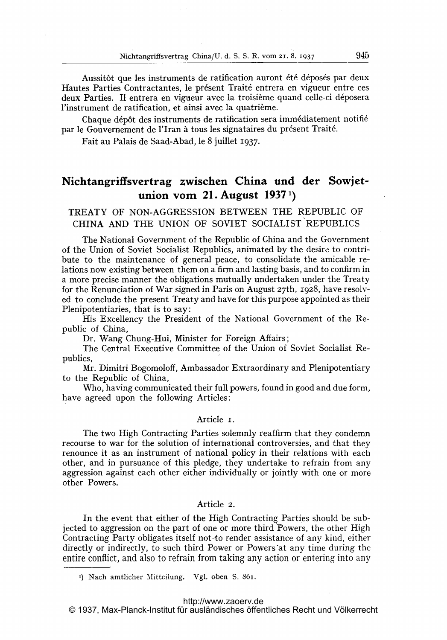Aussitôt que les instruments de ratification auront été déposés par deux Hautes Parties Contractantes, le présent Traité entrera en vigueur entre ces deux Parties. Il entrera en vigueur avec la troisième quand celle-ci déposera l'instrument de ratification, et ainsi avec la quatrième.

Chaque dépôt des instruments de ratification sera immédiatement notifié par le Gouvernement de l'Iran à tous les signataires du présent Traité.

Fait au Palais de Saad-Abad, le 8 juillet 1937.

# Nichtangriffsvertrag zwischen China und der Sowjetunion vom 21. August  $1937<sup>1</sup>$ )

TREATY OF NON-AGGRESSION BETWEEN THE REPUBLIC OF CHINA AND THE UNION OF SOVIET SOCIALIST REPUBLICS

The National Government of the Republic of China and the Government of the Union of Soviet Socialist Republics, animated by the desire to contribute to the maintenance of general peace, to consolidate the amicable relations now existing between them on a firm and lasting basis, and to confirm in a more precise manner the obligations mutually undertaken under the Treaty for the Renunciation of War signed in Paris on August  $27th$ , 1928, have resolved to conclude the present Treaty and have for this purpose appointed as their Plenipotentiaries, that is to say:

His Excellency the President of the National Government of the Republic of China,

Dr. Wang Chung-Hui, Minister for Foreign Affairs;

The Central Executive Committee of the Union of Soviet Socialist Republics,

Mr. Dimitri Bogomoloff, Ambassador Extraordinary and Plenipotentiary to the Republic of China,

Who, having communicated their full powers, found in good and due form, have agreed upon the following Articles:

### Article i.

The two High Contracting Parties solemnly reaffirm that they condemn recourse to war for the solution of international controversies, and that they renounce it as an instrument of national policy in their relations with each other, and in pursuance of this pledge, they undertake to refrain from any aggression against each other either individually or jointly with one or more other Powers.

# Article 2.

In the event that either of the High Contracting Parties should be subjected to aggression on the part of one or more thirdPowers, the other High Contracting Party obligates itself not-to render assistance of any kind, either directly or indirectly, to such third Power or Powers at any time during the entire conflict, and also to refrain from taking any action or entering into any

<sup>1)</sup> Nach amtlicher Mitteilung. Vgl. oben S. 861.